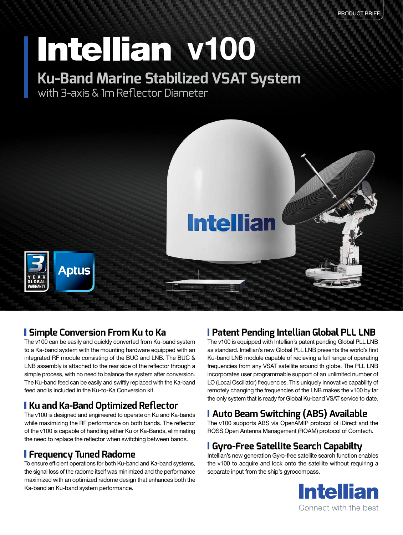# Intellian v100

### **Ku-Band Marine Stabilized VSAT System**

with 3-axis & 1m Reflector Diameter



#### **Simple Conversion From Ku to Ka**

The v100 can be easily and quickly converted from Ku-band system to a Ka-band system with the mounting hardware equipped with an integrated RF module consisting of the BUC and LNB. The BUC & LNB assembly is attached to the rear side of the reflector through a simple process, with no need to balance the system after conversion. The Ku-band feed can be easily and swiftly replaced with the Ka-band feed and is included in the Ku-to-Ka Conversion kit.

#### **Ku and Ka-Band Optimized Reflector**

The v100 is designed and engineered to operate on Ku and Ka-bands while maximizing the RF performance on both bands. The reflector of the v100 is capable of handling either Ku or Ka-Bands, eliminating the need to replace the reflector when switching between bands.

#### **Frequency Tuned Radome**

To ensure efficient operations for both Ku-band and Ka-band systems, the signal loss of the radome itself was minimized and the performance maximized with an optimized radome design that enhances both the Ka-band an Ku-band system performance.

#### **Patent Pending Intellian Global PLL LNB**

The v100 is equipped with Intellian's patent pending Global PLL LNB as standard. Intellian's new Global PLL LNB presents the world's first Ku-band LNB module capable of recieving a full range of operating frequencies from any VSAT satellite around th globe. The PLL LNB incorporates user programmable support of an unlimited number of LO (Local Oscillator) frequencies. This uniquely innovative capability of remotely changing the frequencies of the LNB makes the v100 by far the only system that is ready for Global Ku-band VSAT service to date.

#### **Auto Beam Switching (ABS) Available**

The v100 supports ABS via OpenAMIP protocol of iDirect and the ROSS Open Antenna Management (ROAM) protocol of Comtech.

#### **Gyro-Free Satellite Search Capabilty**

Intellian's new generation Gyro-free satellite search function enables the v100 to acquire and lock onto the satellite without requiring a separate input from the ship's gyrocompass.